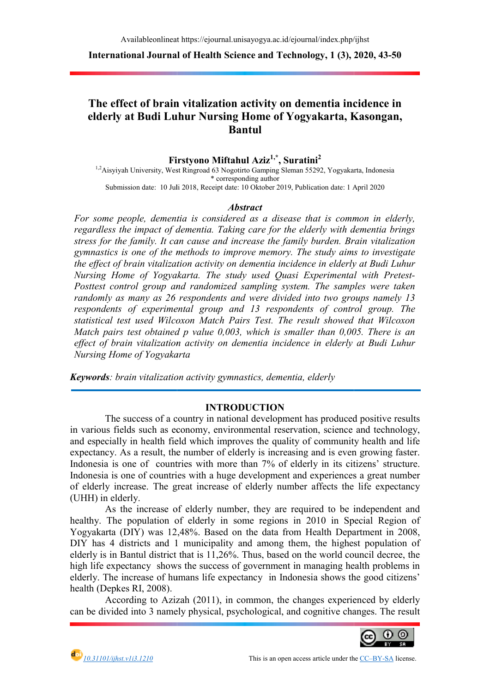International Journal of Health Science and Technology, 1 (3), 2020, 43-50

# The effect of brain vitalization activity on dementia incidence in The effect of brain vitalization activity on dementia incidence in<br>elderly at Budi Luhur Nursing Home of Yogyakarta, Kasongan, Bantul

Firstyono Miftahul Aziz<sup>1,\*</sup>, Suratini<sup>2</sup>

<sup>1,2</sup>Aisyiyah University, West Ringroad 63 Nogotirto Gamping Sleman 55292, Yogyakarta, Indonesia Submission date: 10 Juli 2018 10 2018, Receipt date: 10 Oktober 2019, Publication date: 1 April 2020 \* corresponding author

#### **Abstract**

For some people, dementia is considered as a disease that is common in elderly, regardless the impact of dementia. Taking care for the elderly with dementia brings stress for the family. It can cause and increase the family burden. Brain vitalization gymnastics is one of the methods to improve memory. The study aims to investigate the effect of brain vitalization activity on dementia incidence in elderly at Budi Luhur the effect of brain vitalization activity on dementia incidence in elderly at Budi Luhur<br>Nursing Home of Yogyakarta. The study used Quasi Experimental with Pretest-Posttest control group and randomized sampling system. The samples were taken randomly as many as 26 respondents and were divided into two groups namely 13 respondents of experimental group and 13 respondents of control group. The statistical test used Wilcoxon Match Pairs Test. The result showed Match pairs test obtained  $p$  value 0,003, which is smaller than 0,005. There is an effect of brain vitalization activity on dementia incidence in elderly at Budi Luhur Nursing Home of Yogyakarta Nursing Home of Yogyakarta<br>**Keywords**: brain vitalization activity gymnastics, dementia, elderly The samples were taken<br>nto two groups namely 13<br>ts of control group. The<br>sult showed that Wilcoxon

### INTRODUCTION

The success of a country in national development has produced positive results in various fields such as economy, environmental reservation, science and technology, and especially in health field which improves the quality of community health and life in various fields such as economy, environmental reservation, science and technology, and especially in health field which improves the quality of community health and life expectancy. As a result, the number of elderly is Indonesia is one of countries with more than 7% of elderly in its citizens' structure. Indonesia is one of countries with a huge development and experiences a great of elderly increase. The great increase of elderly number affects the life expectancy (UHH) in elderly. is one of countries with more than 7% of elderly in its citizens' structure.<br>
s one of countries with a huge development and experiences a great number<br>
increase. The great increase of elderly number affects the life expec ing and is even growing faster.<br>Iderly in its citizens' structure.<br>and experiences a great number

As the increase of elderly number, they are required to be independent and healthy. The population of elderly in some regions in 2010 in Speci Yogyakarta (DIY) was 12,48%. Based on the data from Health Department in 2008, DIY has 4 districts and 1 municipality and among them, the highest population of DIY has 4 districts and 1 municipality and among them, the highest populat elderly is in Bantul district that is 11,26%. Thus, based on the world council decr high life expectancy shows the success of government in managing health problems in elderly. The increase of humans life expectancy in Indonesia shows the good citizens' health (Depkes RI, 2008). high life expectancy shows the success of government in managing health problems in elderly. The increase of humans life expectancy in Indonesia shows the good citizens' health (Depkes RI, 2008). According to Azizah (2011) As the increase of elderly number, they are required to be independent and The population of elderly in some regions in 2010 in Special Region of tra (DIY) was 12,48%. Based on the data from Health Department in 2008, Special Region of ed on the data from Health Department in 2008,<br>ality and among them, the highest population of<br>26%. Thus, based on the world council decree, the

According to Azizah (2011), in common, the changes experienced by elderly



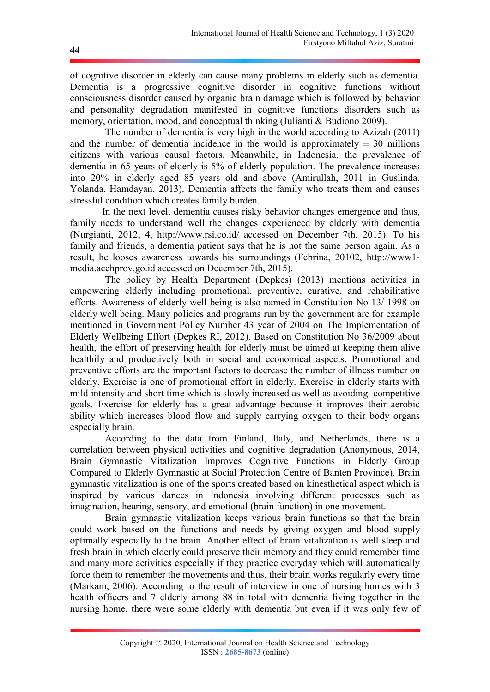of cognitive disorder in elderly can cause many problems in elderly such as dementia. Dementia is a progressive cognitive disorder in cognitive functions without consciousness disorder caused by organic brain damage which is followed by behavior and personality degradation manifested in cognitive functions disorders such as memory, orientation, mood, and conceptual thinking (Julianti & Budiono 2009).

 The number of dementia is very high in the world according to Azizah (2011) and the number of dementia incidence in the world is approximately  $\pm$  30 millions citizens with various causal factors. Meanwhile, in Indonesia, the prevalence of dementia in 65 years of elderly is 5% of elderly population. The prevalence increases into 20% in elderly aged 85 years old and above (Amirullah, 2011 in Guslinda, Yolanda, Hamdayan, 2013). Dementia affects the family who treats them and causes stressful condition which creates family burden.

 In the next level, dementia causes risky behavior changes emergence and thus, family needs to understand well the changes experienced by elderly with dementia (Nurgianti, 2012, 4, http://www.rsi.co.id/ accessed on December 7th, 2015). To his family and friends, a dementia patient says that he is not the same person again. As a result, he looses awareness towards his surroundings (Febrina, 20102, http://www1 media.acehprov.go.id accessed on December 7th, 2015).

 The policy by Health Department (Depkes) (2013) mentions activities in empowering elderly including promotional, preventive, curative, and rehabilitative efforts. Awareness of elderly well being is also named in Constitution No 13/ 1998 on elderly well being. Many policies and programs run by the government are for example mentioned in Government Policy Number 43 year of 2004 on The Implementation of Elderly Wellbeing Effort (Depkes RI, 2012). Based on Constitution No 36/2009 about health, the effort of preserving health for elderly must be aimed at keeping them alive healthily and productively both in social and economical aspects. Promotional and preventive efforts are the important factors to decrease the number of illness number on elderly. Exercise is one of promotional effort in elderly. Exercise in elderly starts with mild intensity and short time which is slowly increased as well as avoiding competitive goals. Exercise for elderly has a great advantage because it improves their aerobic ability which increases blood flow and supply carrying oxygen to their body organs especially brain.

 According to the data from Finland, Italy, and Netherlands, there is a correlation between physical activities and cognitive degradation (Anonymous, 2014, Brain Gymnastic Vitalization Improves Cognitive Functions in Elderly Group Compared to Elderly Gymnastic at Social Protection Centre of Banten Province). Brain gymnastic vitalization is one of the sports created based on kinesthetical aspect which is inspired by various dances in Indonesia involving different processes such as imagination, hearing, sensory, and emotional (brain function) in one movement.

 Brain gymnastic vitalization keeps various brain functions so that the brain could work based on the functions and needs by giving oxygen and blood supply optimally especially to the brain. Another effect of brain vitalization is well sleep and fresh brain in which elderly could preserve their memory and they could remember time and many more activities especially if they practice everyday which will automatically force them to remember the movements and thus, their brain works regularly every time (Markam, 2006). According to the result of interview in one of nursing homes with 3 health officers and 7 elderly among 88 in total with dementia living together in the nursing home, there were some elderly with dementia but even if it was only few of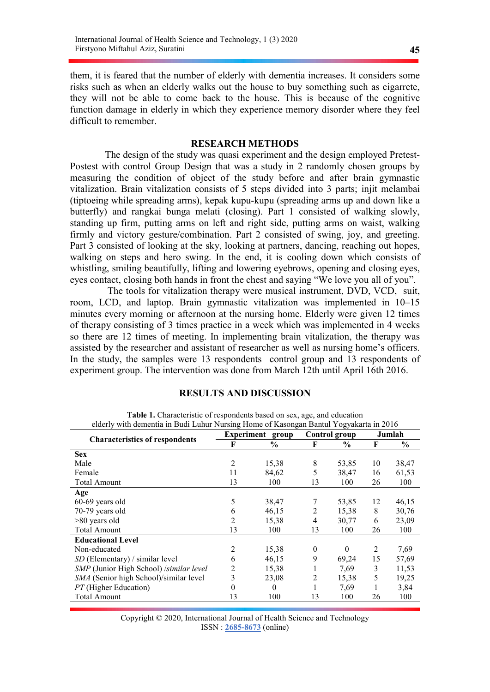them, it is feared that the number of elderly with dementia increases. It considers some risks such as when an elderly walks out the house to buy something such as cigarrete, they will not be able to come back to the house. This is because of the cognitive function damage in elderly in which they experience memory disorder where they feel difficult to remember.

#### RESEARCH METHODS

The design of the study was quasi experiment and the design employed Pretest-Postest with control Group Design that was a study in 2 randomly chosen groups by measuring the condition of object of the study before and after brain gymnastic vitalization. Brain vitalization consists of 5 steps divided into 3 parts; injit melambai (tiptoeing while spreading arms), kepak kupu-kupu (spreading arms up and down like a butterfly) and rangkai bunga melati (closing). Part 1 consisted of walking slowly, standing up firm, putting arms on left and right side, putting arms on waist, walking firmly and victory gesture/combination. Part 2 consisted of swing, joy, and greeting. Part 3 consisted of looking at the sky, looking at partners, dancing, reaching out hopes, walking on steps and hero swing. In the end, it is cooling down which consists of whistling, smiling beautifully, lifting and lowering eyebrows, opening and closing eyes, eyes contact, closing both hands in front the chest and saying "We love you all of you".

 The tools for vitalization therapy were musical instrument, DVD, VCD, suit, room, LCD, and laptop. Brain gymnastic vitalization was implemented in 10–15 minutes every morning or afternoon at the nursing home. Elderly were given 12 times of therapy consisting of 3 times practice in a week which was implemented in 4 weeks so there are 12 times of meeting. In implementing brain vitalization, the therapy was assisted by the researcher and assistant of researcher as well as nursing home's officers. In the study, the samples were 13 respondents control group and 13 respondents of experiment group. The intervention was done from March 12th until April 16th 2016.

## RESULTS AND DISCUSSION

| elderly with dementia in Budi Luhur Nursing Home of Kasongan Bantul Yogyakarta in 2016 |                |                  |               |          |        |               |
|----------------------------------------------------------------------------------------|----------------|------------------|---------------|----------|--------|---------------|
| <b>Characteristics of respondents</b>                                                  |                | Experiment group | Control group |          | Jumlah |               |
|                                                                                        | F              | $\frac{6}{9}$    | F             | $\%$     | F      | $\frac{0}{0}$ |
| <b>Sex</b>                                                                             |                |                  |               |          |        |               |
| Male                                                                                   | 2              | 15,38            | 8             | 53,85    | 10     | 38,47         |
| Female                                                                                 | 11             | 84,62            | 5             | 38,47    | 16     | 61,53         |
| Total Amount                                                                           | 13             | 100              | 13            | 100      | 26     | 100           |
| Age                                                                                    |                |                  |               |          |        |               |
| 60-69 years old                                                                        | 5              | 38,47            | 7             | 53,85    | 12     | 46,15         |
| 70-79 years old                                                                        | 6              | 46,15            | 2             | 15,38    | 8      | 30,76         |
| >80 years old                                                                          | $\overline{2}$ | 15,38            | 4             | 30,77    | 6      | 23,09         |
| <b>Total Amount</b>                                                                    | 13             | 100              | 13            | 100      | 26     | 100           |
| <b>Educational Level</b>                                                               |                |                  |               |          |        |               |
| Non-educated                                                                           | $\overline{2}$ | 15,38            | $\theta$      | $\Omega$ | 2      | 7,69          |
| $SD$ (Elementary) / similar level                                                      | 6              | 46,15            | 9             | 69,24    | 15     | 57,69         |
| SMP (Junior High School) /similar level                                                | 2              | 15,38            | 1             | 7,69     | 3      | 11,53         |
| SMA (Senior high School)/similar level                                                 | 3              | 23,08            | 2             | 15,38    | 5      | 19,25         |
| PT (Higher Education)                                                                  | $\Omega$       | $\theta$         | 1             | 7,69     |        | 3,84          |
| <b>Total Amount</b>                                                                    | 13             | 100              | 13            | 100      | 26     | 100           |

Table 1. Characteristic of respondents based on sex, age, and education elderly with dementia in Budi Luhur Nursing Home of Kasongan Bantul Yogyakarta in 2016

| Copyright © 2020, International Journal of Health Science and Technology |  |
|--------------------------------------------------------------------------|--|
| $ISSN: 2685-8673$ (online)                                               |  |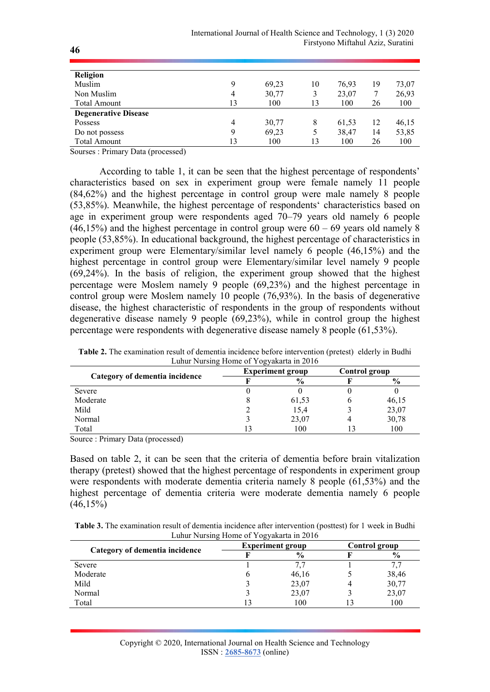| Religion                    |    |       |    |       |    |       |
|-----------------------------|----|-------|----|-------|----|-------|
| Muslim                      | 9  | 69,23 | 10 | 76,93 | 19 | 73,07 |
| Non Muslim                  | 4  | 30,77 | 3  | 23,07 |    | 26,93 |
| <b>Total Amount</b>         | 13 | 100   | 13 | 100   | 26 | 100   |
| <b>Degenerative Disease</b> |    |       |    |       |    |       |
| Possess                     | 4  | 30,77 | 8  | 61,53 | 12 | 46,15 |
| Do not possess              | 9  | 69,23 | 5  | 38,47 | 14 | 53,85 |
| <b>Total Amount</b>         | 13 | 100   | 13 | 100   | 26 | 100   |

Sourses : Primary Data (processed)

According to table 1, it can be seen that the highest percentage of respondents' characteristics based on sex in experiment group were female namely 11 people (84,62%) and the highest percentage in control group were male namely 8 people (53,85%). Meanwhile, the highest percentage of respondents' characteristics based on age in experiment group were respondents aged 70–79 years old namely 6 people  $(46,15%)$  and the highest percentage in control group were  $60 - 69$  years old namely 8 people (53,85%). In educational background, the highest percentage of characteristics in experiment group were Elementary/similar level namely 6 people (46,15%) and the highest percentage in control group were Elementary/similar level namely 9 people (69,24%). In the basis of religion, the experiment group showed that the highest percentage were Moslem namely 9 people (69,23%) and the highest percentage in control group were Moslem namely 10 people (76,93%). In the basis of degenerative disease, the highest characteristic of respondents in the group of respondents without degenerative disease namely 9 people (69,23%), while in control group the highest percentage were respondents with degenerative disease namely 8 people (61,53%).

| Lunui ivursing Home of Togyakaria in 2010 |  |                         |  |               |  |  |
|-------------------------------------------|--|-------------------------|--|---------------|--|--|
|                                           |  | <b>Experiment group</b> |  | Control group |  |  |
| Category of dementia incidence            |  | $\frac{6}{9}$           |  | $\frac{6}{9}$ |  |  |
| Severe                                    |  |                         |  |               |  |  |
| Moderate                                  |  | 61,53                   |  | 46,15         |  |  |
| Mild                                      |  | 15,4                    |  | 23,07         |  |  |
| Normal                                    |  | 23,07                   |  | 30,78         |  |  |
| Total                                     |  | 100                     |  | 100           |  |  |

Table 2. The examination result of dementia incidence before intervention (pretest) elderly in Budhi Luhur Nursing Home of Yogyakarta in 2016

Source : Primary Data (processed)

Based on table 2, it can be seen that the criteria of dementia before brain vitalization therapy (pretest) showed that the highest percentage of respondents in experiment group were respondents with moderate dementia criteria namely 8 people (61,53%) and the highest percentage of dementia criteria were moderate dementia namely 6 people  $(46,15\%)$ 

| <b>Table 3.</b> The examination result of dementia incidence after intervention (posttest) for 1 week in Budhi |
|----------------------------------------------------------------------------------------------------------------|
| Luhur Nursing Home of Yogyakarta in 2016                                                                       |

|                                | $Lcm$ . $Lcm$ . The set of $Lcm$ , and as $Lcm$ and $Lcm$ and $Lcm$ and $Lcm$ and $Lcm$ and $Lcm$ and $Lcm$ and $Lcm$ and $Lcm$ and $Lcm$ and $Lcm$ and |                         |               |               |  |
|--------------------------------|---------------------------------------------------------------------------------------------------------------------------------------------------------|-------------------------|---------------|---------------|--|
|                                |                                                                                                                                                         | <b>Experiment group</b> | Control group |               |  |
| Category of dementia incidence |                                                                                                                                                         | $\frac{6}{9}$           |               | $\frac{0}{0}$ |  |
| Severe                         |                                                                                                                                                         |                         |               | 7.7           |  |
| Moderate                       |                                                                                                                                                         | 46,16                   |               | 38,46         |  |
| Mild                           |                                                                                                                                                         | 23,07                   |               | 30,77         |  |
| Normal                         |                                                                                                                                                         | 23,07                   |               | 23,07         |  |
| Total                          |                                                                                                                                                         | 100                     |               | 100           |  |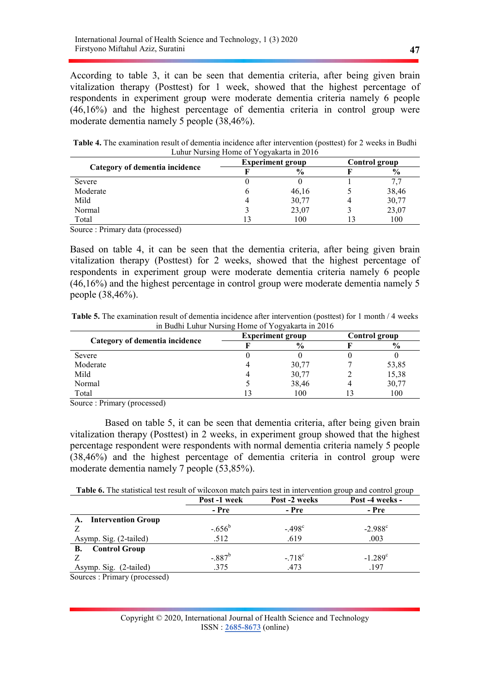According to table 3, it can be seen that dementia criteria, after being given brain vitalization therapy (Posttest) for 1 week, showed that the highest percentage of respondents in experiment group were moderate dementia criteria namely 6 people (46,16%) and the highest percentage of dementia criteria in control group were moderate dementia namely 5 people (38,46%).

Table 4. The examination result of dementia incidence after intervention (posttest) for 2 weeks in Budhi Luhur Nursing Home of Yogyakarta in 2016

| Category of dementia incidence | <b>Experiment group</b> | Control group |               |  |
|--------------------------------|-------------------------|---------------|---------------|--|
|                                | $\frac{6}{9}$           |               | $\frac{0}{0}$ |  |
| Severe                         |                         |               | 7.7           |  |
| Moderate                       | 46,16                   |               | 38,46         |  |
| Mild                           | 30,77                   |               | 30,77         |  |
| Normal                         | 23,07                   |               | 23,07         |  |
| Total                          | 100                     |               | 100           |  |

Source : Primary data (processed)

Based on table 4, it can be seen that the dementia criteria, after being given brain vitalization therapy (Posttest) for 2 weeks, showed that the highest percentage of respondents in experiment group were moderate dementia criteria namely 6 people (46,16%) and the highest percentage in control group were moderate dementia namely 5 people (38,46%).

Table 5. The examination result of dementia incidence after intervention (posttest) for 1 month / 4 weeks in Budhi Luhur Nursing Home of Yogyakarta in 2016

|                                | <b>Experiment group</b> | Control group |               |  |
|--------------------------------|-------------------------|---------------|---------------|--|
| Category of dementia incidence | $\frac{6}{9}$           |               | $\frac{6}{6}$ |  |
| Severe                         |                         |               |               |  |
| Moderate                       | 30,77                   |               | 53,85         |  |
| Mild                           | 30,77                   |               | 15,38         |  |
| Normal                         | 38,46                   |               | 30,77         |  |
| Total                          | 100                     |               | 100           |  |

Source : Primary (processed)

 Based on table 5, it can be seen that dementia criteria, after being given brain vitalization therapy (Posttest) in 2 weeks, in experiment group showed that the highest percentage respondent were respondents with normal dementia criteria namely 5 people (38,46%) and the highest percentage of dementia criteria in control group were moderate dementia namely 7 people (53,85%).

|                                                        | Post -1 week | Post -2 weeks   | Post -4 weeks -  |
|--------------------------------------------------------|--------------|-----------------|------------------|
|                                                        | - Pre        | - Pre           | - Pre            |
| <b>Intervention Group</b><br>A.                        |              |                 |                  |
|                                                        | $-.656^b$    | $-.498c$        | $-2.988^{\circ}$ |
| Asymp. Sig. (2-tailed)                                 | .512         | .619            | .003             |
| <b>Control Group</b><br>В.                             |              |                 |                  |
|                                                        | $-.887^b$    | $-.718^{\circ}$ | $-1.289^{\circ}$ |
| Asymp. Sig. (2-tailed)                                 | .375         | .473            | .197             |
| $\mathbf{1}$<br>$\sim$ $\sim$ $\sim$<br>$\mathbf{r}$ . |              |                 |                  |

Sources : Primary (processed)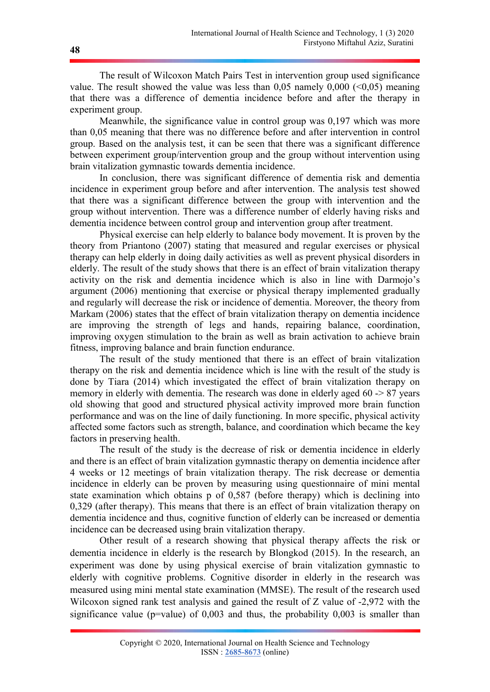The result of Wilcoxon Match Pairs Test in intervention group used significance value. The result showed the value was less than  $0.05$  namely  $0.000$  ( $0.05$ ) meaning that there was a difference of dementia incidence before and after the therapy in experiment group.

Meanwhile, the significance value in control group was 0,197 which was more than 0,05 meaning that there was no difference before and after intervention in control group. Based on the analysis test, it can be seen that there was a significant difference between experiment group/intervention group and the group without intervention using brain vitalization gymnastic towards dementia incidence.

In conclusion, there was significant difference of dementia risk and dementia incidence in experiment group before and after intervention. The analysis test showed that there was a significant difference between the group with intervention and the group without intervention. There was a difference number of elderly having risks and dementia incidence between control group and intervention group after treatment.

Physical exercise can help elderly to balance body movement. It is proven by the theory from Priantono (2007) stating that measured and regular exercises or physical therapy can help elderly in doing daily activities as well as prevent physical disorders in elderly. The result of the study shows that there is an effect of brain vitalization therapy activity on the risk and dementia incidence which is also in line with Darmojo's argument (2006) mentioning that exercise or physical therapy implemented gradually and regularly will decrease the risk or incidence of dementia. Moreover, the theory from Markam (2006) states that the effect of brain vitalization therapy on dementia incidence are improving the strength of legs and hands, repairing balance, coordination, improving oxygen stimulation to the brain as well as brain activation to achieve brain fitness, improving balance and brain function endurance.

The result of the study mentioned that there is an effect of brain vitalization therapy on the risk and dementia incidence which is line with the result of the study is done by Tiara (2014) which investigated the effect of brain vitalization therapy on memory in elderly with dementia. The research was done in elderly aged 60 -> 87 years old showing that good and structured physical activity improved more brain function performance and was on the line of daily functioning. In more specific, physical activity affected some factors such as strength, balance, and coordination which became the key factors in preserving health.

The result of the study is the decrease of risk or dementia incidence in elderly and there is an effect of brain vitalization gymnastic therapy on dementia incidence after 4 weeks or 12 meetings of brain vitalization therapy. The risk decrease or dementia incidence in elderly can be proven by measuring using questionnaire of mini mental state examination which obtains p of 0,587 (before therapy) which is declining into 0,329 (after therapy). This means that there is an effect of brain vitalization therapy on dementia incidence and thus, cognitive function of elderly can be increased or dementia incidence can be decreased using brain vitalization therapy.

Other result of a research showing that physical therapy affects the risk or dementia incidence in elderly is the research by Blongkod (2015). In the research, an experiment was done by using physical exercise of brain vitalization gymnastic to elderly with cognitive problems. Cognitive disorder in elderly in the research was measured using mini mental state examination (MMSE). The result of the research used Wilcoxon signed rank test analysis and gained the result of Z value of -2,972 with the significance value ( $p=$ value) of 0,003 and thus, the probability 0,003 is smaller than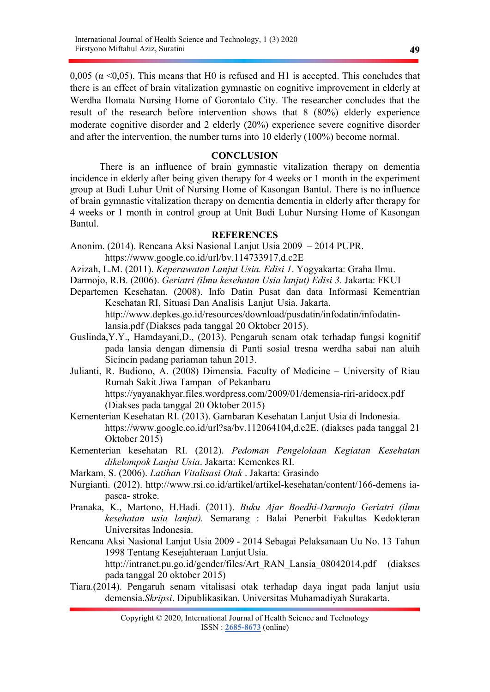0,005 ( $\alpha$  <0,05). This means that H0 is refused and H1 is accepted. This concludes that there is an effect of brain vitalization gymnastic on cognitive improvement in elderly at Werdha Ilomata Nursing Home of Gorontalo City. The researcher concludes that the result of the research before intervention shows that 8 (80%) elderly experience moderate cognitive disorder and 2 elderly (20%) experience severe cognitive disorder and after the intervention, the number turns into 10 elderly (100%) become normal.

### **CONCLUSION**

There is an influence of brain gymnastic vitalization therapy on dementia incidence in elderly after being given therapy for 4 weeks or 1 month in the experiment group at Budi Luhur Unit of Nursing Home of Kasongan Bantul. There is no influence of brain gymnastic vitalization therapy on dementia dementia in elderly after therapy for 4 weeks or 1 month in control group at Unit Budi Luhur Nursing Home of Kasongan Bantul.

#### **REFERENCES**

- Anonim. (2014). Rencana Aksi Nasional Lanjut Usia 2009 2014 PUPR. https://www.google.co.id/url/bv.114733917,d.c2E
- Azizah, L.M. (2011). Keperawatan Lanjut Usia. Edisi 1. Yogyakarta: Graha Ilmu.
- Darmojo, R.B. (2006). Geriatri (ilmu kesehatan Usia lanjut) Edisi 3. Jakarta: FKUI
- Departemen Kesehatan. (2008). Info Datin Pusat dan data Informasi Kementrian Kesehatan RI, Situasi Dan Analisis Lanjut Usia. Jakarta. http://www.depkes.go.id/resources/download/pusdatin/infodatin/infodatin
	- lansia.pdf (Diakses pada tanggal 20 Oktober 2015).
- Guslinda,Y.Y., Hamdayani,D., (2013). Pengaruh senam otak terhadap fungsi kognitif pada lansia dengan dimensia di Panti sosial tresna werdha sabai nan aluih Sicincin padang pariaman tahun 2013.
- Julianti, R. Budiono, A. (2008) Dimensia. Faculty of Medicine University of Riau Rumah Sakit Jiwa Tampan of Pekanbaru https://yayanakhyar.files.wordpress.com/2009/01/demensia-riri-aridocx.pdf (Diakses pada tanggal 20 Oktober 2015)
- Kementerian Kesehatan RI. (2013). Gambaran Kesehatan Lanjut Usia di Indonesia. https://www.google.co.id/url?sa/bv.112064104,d.c2E. (diakses pada tanggal 21 Oktober 2015)
- Kementerian kesehatan RI. (2012). Pedoman Pengelolaan Kegiatan Kesehatan dikelompok Lanjut Usia. Jakarta: Kemenkes RI.
- Markam, S. (2006). Latihan Vitalisasi Otak . Jakarta: Grasindo
- Nurgianti. (2012). http://www.rsi.co.id/artikel/artikel-kesehatan/content/166-demens iapasca- stroke.
- Pranaka, K., Martono, H.Hadi. (2011). Buku Ajar Boedhi-Darmojo Geriatri (ilmu kesehatan usia lanjut). Semarang : Balai Penerbit Fakultas Kedokteran Universitas Indonesia.
- Rencana Aksi Nasional Lanjut Usia 2009 2014 Sebagai Pelaksanaan Uu No. 13 Tahun 1998 Tentang Kesejahteraan Lanjut Usia. http://intranet.pu.go.id/gender/files/Art\_RAN\_Lansia\_08042014.pdf (diakses pada tanggal 20 oktober 2015)
- Tiara.(2014). Pengaruh senam vitalisasi otak terhadap daya ingat pada lanjut usia demensia.Skripsi. Dipublikasikan. Universitas Muhamadiyah Surakarta.